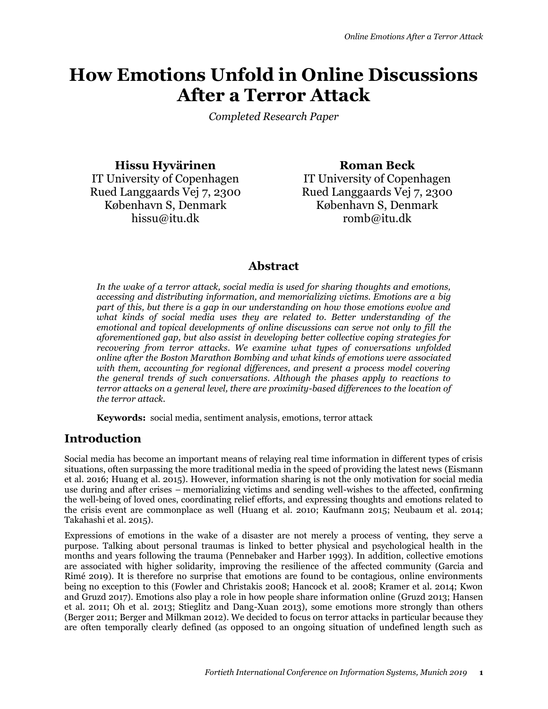# **How Emotions Unfold in Online Discussions After a Terror Attack**

*Completed Research Paper*

**Hissu Hyvärinen** IT University of Copenhagen Rued Langgaards Vej 7, 2300 København S, Denmark hissu@itu.dk

**Roman Beck** IT University of Copenhagen Rued Langgaards Vej 7, 2300 København S, Denmark romb@itu.dk

# **Abstract**

*In the wake of a terror attack, social media is used for sharing thoughts and emotions, accessing and distributing information, and memorializing victims. Emotions are a big part of this, but there is a gap in our understanding on how those emotions evolve and what kinds of social media uses they are related to. Better understanding of the emotional and topical developments of online discussions can serve not only to fill the aforementioned gap, but also assist in developing better collective coping strategies for recovering from terror attacks. We examine what types of conversations unfolded online after the Boston Marathon Bombing and what kinds of emotions were associated with them, accounting for regional differences, and present a process model covering the general trends of such conversations. Although the phases apply to reactions to terror attacks on a general level, there are proximity-based differences to the location of the terror attack.*

**Keywords:** social media, sentiment analysis, emotions, terror attack

# **Introduction**

Social media has become an important means of relaying real time information in different types of crisis situations, often surpassing the more traditional media in the speed of providing the latest news (Eismann et al. 2016; Huang et al. 2015). However, information sharing is not the only motivation for social media use during and after crises – memorializing victims and sending well-wishes to the affected, confirming the well-being of loved ones, coordinating relief efforts, and expressing thoughts and emotions related to the crisis event are commonplace as well (Huang et al. 2010; Kaufmann 2015; Neubaum et al. 2014; Takahashi et al. 2015).

Expressions of emotions in the wake of a disaster are not merely a process of venting, they serve a purpose. Talking about personal traumas is linked to better physical and psychological health in the months and years following the trauma (Pennebaker and Harber 1993). In addition, collective emotions are associated with higher solidarity, improving the resilience of the affected community (Garcia and Rimé 2019). It is therefore no surprise that emotions are found to be contagious, online environments being no exception to this (Fowler and Christakis 2008; Hancock et al. 2008; Kramer et al. 2014; Kwon and Gruzd 2017). Emotions also play a role in how people share information online (Gruzd 2013; Hansen et al. 2011; Oh et al. 2013; Stieglitz and Dang-Xuan 2013), some emotions more strongly than others (Berger 2011; Berger and Milkman 2012). We decided to focus on terror attacks in particular because they are often temporally clearly defined (as opposed to an ongoing situation of undefined length such as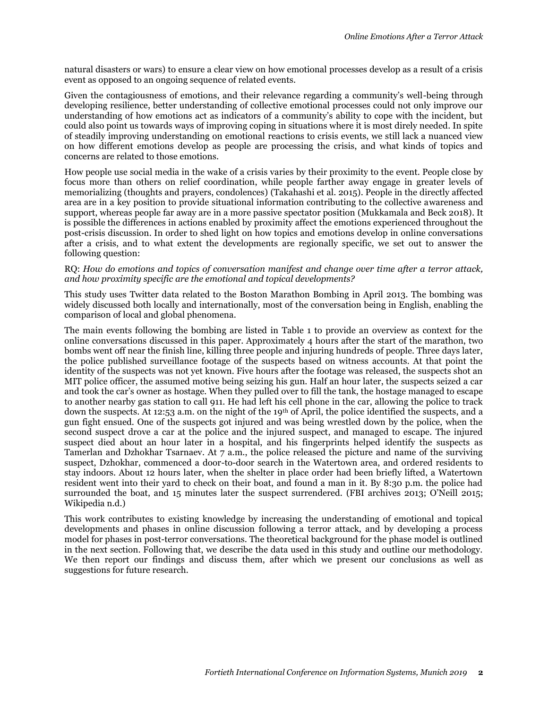natural disasters or wars) to ensure a clear view on how emotional processes develop as a result of a crisis event as opposed to an ongoing sequence of related events.

Given the contagiousness of emotions, and their relevance regarding a community's well-being through developing resilience, better understanding of collective emotional processes could not only improve our understanding of how emotions act as indicators of a community's ability to cope with the incident, but could also point us towards ways of improving coping in situations where it is most direly needed. In spite of steadily improving understanding on emotional reactions to crisis events, we still lack a nuanced view on how different emotions develop as people are processing the crisis, and what kinds of topics and concerns are related to those emotions.

How people use social media in the wake of a crisis varies by their proximity to the event. People close by focus more than others on relief coordination, while people farther away engage in greater levels of memorializing (thoughts and prayers, condolences) (Takahashi et al. 2015). People in the directly affected area are in a key position to provide situational information contributing to the collective awareness and support, whereas people far away are in a more passive spectator position (Mukkamala and Beck 2018). It is possible the differences in actions enabled by proximity affect the emotions experienced throughout the post-crisis discussion. In order to shed light on how topics and emotions develop in online conversations after a crisis, and to what extent the developments are regionally specific, we set out to answer the following question:

#### RQ: *How do emotions and topics of conversation manifest and change over time after a terror attack, and how proximity specific are the emotional and topical developments?*

This study uses Twitter data related to the Boston Marathon Bombing in April 2013. The bombing was widely discussed both locally and internationally, most of the conversation being in English, enabling the comparison of local and global phenomena.

The main events following the bombing are listed in Table 1 to provide an overview as context for the online conversations discussed in this paper. Approximately 4 hours after the start of the marathon, two bombs went off near the finish line, killing three people and injuring hundreds of people. Three days later, the police published surveillance footage of the suspects based on witness accounts. At that point the identity of the suspects was not yet known. Five hours after the footage was released, the suspects shot an MIT police officer, the assumed motive being seizing his gun. Half an hour later, the suspects seized a car and took the car's owner as hostage. When they pulled over to fill the tank, the hostage managed to escape to another nearby gas station to call 911. He had left his cell phone in the car, allowing the police to track down the suspects. At 12:53 a.m. on the night of the 19th of April, the police identified the suspects, and a gun fight ensued. One of the suspects got injured and was being wrestled down by the police, when the second suspect drove a car at the police and the injured suspect, and managed to escape. The injured suspect died about an hour later in a hospital, and his fingerprints helped identify the suspects as Tamerlan and Dzhokhar Tsarnaev. At 7 a.m., the police released the picture and name of the surviving suspect, Dzhokhar, commenced a door-to-door search in the Watertown area, and ordered residents to stay indoors. About 12 hours later, when the shelter in place order had been briefly lifted, a Watertown resident went into their yard to check on their boat, and found a man in it. By 8:30 p.m. the police had surrounded the boat, and 15 minutes later the suspect surrendered. (FBI archives 2013; O'Neill 2015; Wikipedia n.d.)

This work contributes to existing knowledge by increasing the understanding of emotional and topical developments and phases in online discussion following a terror attack, and by developing a process model for phases in post-terror conversations. The theoretical background for the phase model is outlined in the next section. Following that, we describe the data used in this study and outline our methodology. We then report our findings and discuss them, after which we present our conclusions as well as suggestions for future research.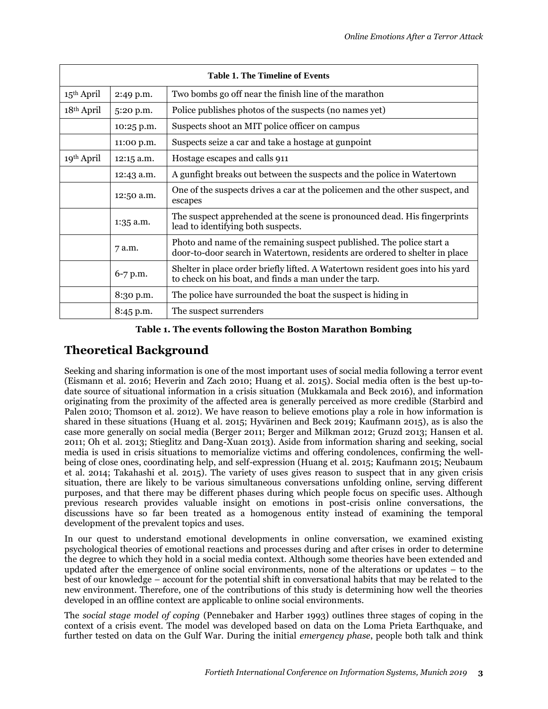| <b>Table 1. The Timeline of Events</b> |             |                                                                                                                                                      |  |
|----------------------------------------|-------------|------------------------------------------------------------------------------------------------------------------------------------------------------|--|
| $15th$ April                           | 2:49 p.m.   | Two bombs go off near the finish line of the marathon                                                                                                |  |
| $18th$ April                           | 5:20 p.m.   | Police publishes photos of the suspects (no names yet)                                                                                               |  |
|                                        | 10:25 p.m.  | Suspects shoot an MIT police officer on campus                                                                                                       |  |
|                                        | 11:00 p.m.  | Suspects seize a car and take a hostage at gunpoint                                                                                                  |  |
| 19 <sup>th</sup> April                 | 12:15 a.m.  | Hostage escapes and calls 911                                                                                                                        |  |
|                                        | 12:43 a.m.  | A gunfight breaks out between the suspects and the police in Watertown                                                                               |  |
|                                        | 12:50 a.m.  | One of the suspects drives a car at the policemen and the other suspect, and<br>escapes                                                              |  |
|                                        | $1:35$ a.m. | The suspect apprehended at the scene is pronounced dead. His fingerprints<br>lead to identifying both suspects.                                      |  |
|                                        | 7 a.m.      | Photo and name of the remaining suspect published. The police start a<br>door-to-door search in Watertown, residents are ordered to shelter in place |  |
|                                        | 6-7 p.m.    | Shelter in place order briefly lifted. A Watertown resident goes into his yard<br>to check on his boat, and finds a man under the tarp.              |  |
|                                        | 8:30 p.m.   | The police have surrounded the boat the suspect is hiding in                                                                                         |  |
|                                        | 8:45 p.m.   | The suspect surrenders                                                                                                                               |  |

#### **Table 1. The events following the Boston Marathon Bombing**

# **Theoretical Background**

Seeking and sharing information is one of the most important uses of social media following a terror event (Eismann et al. 2016; Heverin and Zach 2010; Huang et al. 2015). Social media often is the best up-todate source of situational information in a crisis situation (Mukkamala and Beck 2016), and information originating from the proximity of the affected area is generally perceived as more credible (Starbird and Palen 2010; Thomson et al. 2012). We have reason to believe emotions play a role in how information is shared in these situations (Huang et al. 2015; Hyvärinen and Beck 2019; Kaufmann 2015), as is also the case more generally on social media (Berger 2011; Berger and Milkman 2012; Gruzd 2013; Hansen et al. 2011; Oh et al. 2013; Stieglitz and Dang-Xuan 2013). Aside from information sharing and seeking, social media is used in crisis situations to memorialize victims and offering condolences, confirming the wellbeing of close ones, coordinating help, and self-expression (Huang et al. 2015; Kaufmann 2015; Neubaum et al. 2014; Takahashi et al. 2015). The variety of uses gives reason to suspect that in any given crisis situation, there are likely to be various simultaneous conversations unfolding online, serving different purposes, and that there may be different phases during which people focus on specific uses. Although previous research provides valuable insight on emotions in post-crisis online conversations, the discussions have so far been treated as a homogenous entity instead of examining the temporal development of the prevalent topics and uses.

In our quest to understand emotional developments in online conversation, we examined existing psychological theories of emotional reactions and processes during and after crises in order to determine the degree to which they hold in a social media context. Although some theories have been extended and updated after the emergence of online social environments, none of the alterations or updates – to the best of our knowledge – account for the potential shift in conversational habits that may be related to the new environment. Therefore, one of the contributions of this study is determining how well the theories developed in an offline context are applicable to online social environments.

The *social stage model of coping* (Pennebaker and Harber 1993) outlines three stages of coping in the context of a crisis event. The model was developed based on data on the Loma Prieta Earthquake, and further tested on data on the Gulf War. During the initial *emergency phase*, people both talk and think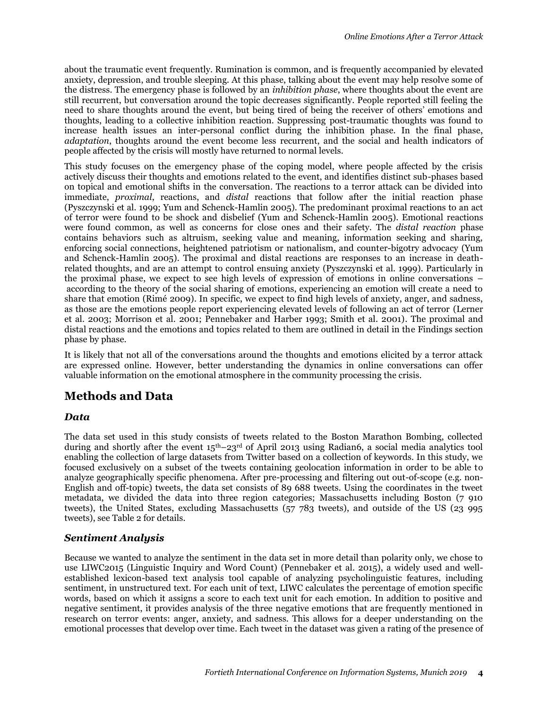about the traumatic event frequently. Rumination is common, and is frequently accompanied by elevated anxiety, depression, and trouble sleeping. At this phase, talking about the event may help resolve some of the distress. The emergency phase is followed by an *inhibition phase*, where thoughts about the event are still recurrent, but conversation around the topic decreases significantly. People reported still feeling the need to share thoughts around the event, but being tired of being the receiver of others' emotions and thoughts, leading to a collective inhibition reaction. Suppressing post-traumatic thoughts was found to increase health issues an inter-personal conflict during the inhibition phase. In the final phase, *adaptation*, thoughts around the event become less recurrent, and the social and health indicators of people affected by the crisis will mostly have returned to normal levels.

This study focuses on the emergency phase of the coping model, where people affected by the crisis actively discuss their thoughts and emotions related to the event, and identifies distinct sub-phases based on topical and emotional shifts in the conversation. The reactions to a terror attack can be divided into immediate, *proximal*, reactions, and *distal* reactions that follow after the initial reaction phase (Pyszczynski et al. 1999; Yum and Schenck-Hamlin 2005). The predominant proximal reactions to an act of terror were found to be shock and disbelief (Yum and Schenck-Hamlin 2005). Emotional reactions were found common, as well as concerns for close ones and their safety. The *distal reaction* phase contains behaviors such as altruism, seeking value and meaning, information seeking and sharing, enforcing social connections, heightened patriotism or nationalism, and counter-bigotry advocacy (Yum and Schenck-Hamlin 2005). The proximal and distal reactions are responses to an increase in deathrelated thoughts, and are an attempt to control ensuing anxiety (Pyszczynski et al. 1999). Particularly in the proximal phase, we expect to see high levels of expression of emotions in online conversations – according to the theory of the social sharing of emotions, experiencing an emotion will create a need to share that emotion (Rimé 2009). In specific, we expect to find high levels of anxiety, anger, and sadness, as those are the emotions people report experiencing elevated levels of following an act of terror (Lerner et al. 2003; Morrison et al. 2001; Pennebaker and Harber 1993; Smith et al. 2001). The proximal and distal reactions and the emotions and topics related to them are outlined in detail in the Findings section phase by phase.

It is likely that not all of the conversations around the thoughts and emotions elicited by a terror attack are expressed online. However, better understanding the dynamics in online conversations can offer valuable information on the emotional atmosphere in the community processing the crisis.

# **Methods and Data**

#### *Data*

The data set used in this study consists of tweets related to the Boston Marathon Bombing, collected during and shortly after the event  $15<sup>th</sup>-23<sup>rd</sup>$  of April 2013 using Radian6, a social media analytics tool enabling the collection of large datasets from Twitter based on a collection of keywords. In this study, we focused exclusively on a subset of the tweets containing geolocation information in order to be able to analyze geographically specific phenomena. After pre-processing and filtering out out-of-scope (e.g. non-English and off-topic) tweets, the data set consists of 89 688 tweets. Using the coordinates in the tweet metadata, we divided the data into three region categories; Massachusetts including Boston (7 910 tweets), the United States, excluding Massachusetts (57 783 tweets), and outside of the US (23 995 tweets), see Table 2 for details.

## *Sentiment Analysis*

Because we wanted to analyze the sentiment in the data set in more detail than polarity only, we chose to use LIWC2015 (Linguistic Inquiry and Word Count) (Pennebaker et al. 2015), a widely used and wellestablished lexicon-based text analysis tool capable of analyzing psycholinguistic features, including sentiment, in unstructured text. For each unit of text, LIWC calculates the percentage of emotion specific words, based on which it assigns a score to each text unit for each emotion. In addition to positive and negative sentiment, it provides analysis of the three negative emotions that are frequently mentioned in research on terror events: anger, anxiety, and sadness. This allows for a deeper understanding on the emotional processes that develop over time. Each tweet in the dataset was given a rating of the presence of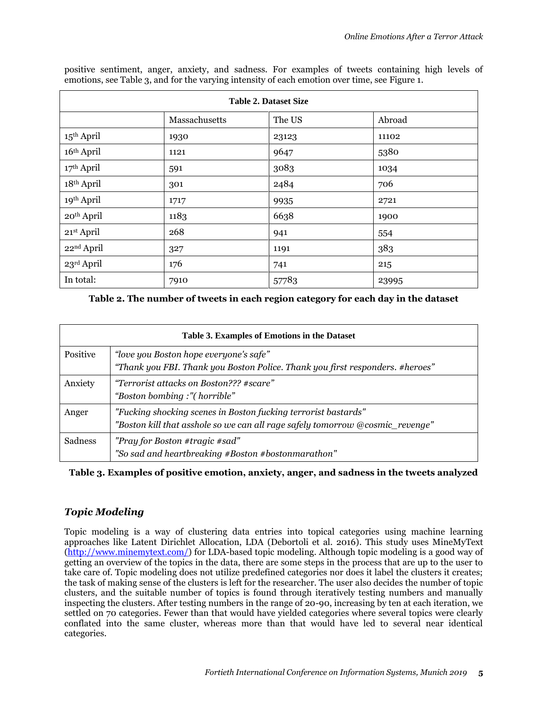| <b>Table 2. Dataset Size</b> |               |        |        |
|------------------------------|---------------|--------|--------|
|                              | Massachusetts | The US | Abroad |
| 15 <sup>th</sup> April       | 1930          | 23123  | 11102  |
| 16th April                   | 1121          | 9647   | 5380   |
| 17th April                   | 591           | 3083   | 1034   |
| 18th April                   | 301           | 2484   | 706    |
| 19th April                   | 1717          | 9935   | 2721   |
| 20 <sup>th</sup> April       | 1183          | 6638   | 1900   |
| 21st April                   | 268           | 941    | 554    |
| 22 <sup>nd</sup> April       | 327           | 1191   | 383    |
| 23rd April                   | 176           | 741    | 215    |
| In total:                    | 7910          | 57783  | 23995  |

positive sentiment, anger, anxiety, and sadness. For examples of tweets containing high levels of emotions, see Table 3, and for the varying intensity of each emotion over time, see Figure 1.

**Table 2. The number of tweets in each region category for each day in the dataset**

| Table 3. Examples of Emotions in the Dataset |                                                                                                                                                 |  |  |
|----------------------------------------------|-------------------------------------------------------------------------------------------------------------------------------------------------|--|--|
| <b>Positive</b>                              | "love you Boston hope everyone's safe"<br>"Thank you FBI. Thank you Boston Police. Thank you first responders. #heroes"                         |  |  |
| Anxiety                                      | "Terrorist attacks on Boston??? #scare"<br>"Boston bombing:"(horrible"                                                                          |  |  |
| Anger                                        | "Fucking shocking scenes in Boston fucking terrorist bastards"<br>"Boston kill that asshole so we can all rage safely tomorrow @cosmic_revenge" |  |  |
| Sadness                                      | "Pray for Boston #tragic #sad"<br>"So sad and heartbreaking #Boston #bostonmarathon"                                                            |  |  |

**Table 3. Examples of positive emotion, anxiety, anger, and sadness in the tweets analyzed**

## *Topic Modeling*

Topic modeling is a way of clustering data entries into topical categories using machine learning approaches like Latent Dirichlet Allocation, LDA (Debortoli et al. 2016). This study uses MineMyText [\(http://www.minemytext.com/\)](http://www.minemytext.com/) for LDA-based topic modeling. Although topic modeling is a good way of getting an overview of the topics in the data, there are some steps in the process that are up to the user to take care of. Topic modeling does not utilize predefined categories nor does it label the clusters it creates; the task of making sense of the clusters is left for the researcher. The user also decides the number of topic clusters, and the suitable number of topics is found through iteratively testing numbers and manually inspecting the clusters. After testing numbers in the range of 20-90, increasing by ten at each iteration, we settled on 70 categories. Fewer than that would have yielded categories where several topics were clearly conflated into the same cluster, whereas more than that would have led to several near identical categories.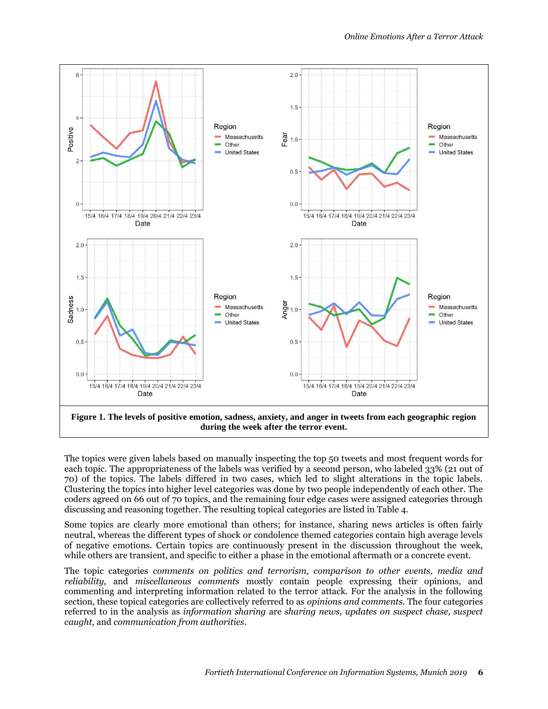

The topics were given labels based on manually inspecting the top 50 tweets and most frequent words for each topic. The appropriateness of the labels was verified by a second person, who labeled 33% (21 out of 70) of the topics. The labels differed in two cases, which led to slight alterations in the topic labels. Clustering the topics into higher level categories was done by two people independently of each other. The coders agreed on 66 out of 70 topics, and the remaining four edge cases were assigned categories through discussing and reasoning together. The resulting topical categories are listed in Table 4.

Some topics are clearly more emotional than others; for instance, sharing news articles is often fairly neutral, whereas the different types of shock or condolence themed categories contain high average levels of negative emotions. Certain topics are continuously present in the discussion throughout the week, while others are transient, and specific to either a phase in the emotional aftermath or a concrete event.

The topic categories *comments on politics and terrorism, comparison to other events, media and reliability,* and *miscellaneous comments* mostly contain people expressing their opinions, and commenting and interpreting information related to the terror attack. For the analysis in the following section, these topical categories are collectively referred to as *opinions and comments*. The four categories referred to in the analysis as *information sharing* are *sharing news, updates on suspect chase, suspect caught,* and *communication from authorities*.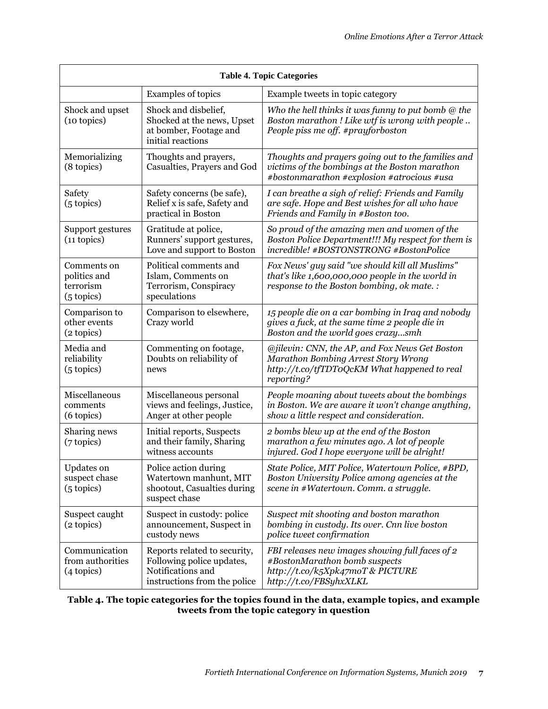| <b>Table 4. Topic Categories</b>                           |                                                                                                                |                                                                                                                                                     |  |
|------------------------------------------------------------|----------------------------------------------------------------------------------------------------------------|-----------------------------------------------------------------------------------------------------------------------------------------------------|--|
|                                                            | Examples of topics                                                                                             | Example tweets in topic category                                                                                                                    |  |
| Shock and upset<br>(10 topics)                             | Shock and disbelief,<br>Shocked at the news, Upset<br>at bomber, Footage and<br>initial reactions              | Who the hell thinks it was funny to put bomb $@$ the<br>Boston marathon! Like wtf is wrong with people<br>People piss me off. #prayforboston        |  |
| Memorializing<br>(8 topics)                                | Thoughts and prayers,<br>Casualties, Prayers and God                                                           | Thoughts and prayers going out to the families and<br>victims of the bombings at the Boston marathon<br>#bostonmarathon #explosion #atrocious #usa  |  |
| Safety<br>(5 topics)                                       | Safety concerns (be safe),<br>Relief x is safe, Safety and<br>practical in Boston                              | I can breathe a sigh of relief: Friends and Family<br>are safe. Hope and Best wishes for all who have<br>Friends and Family in #Boston too.         |  |
| Support gestures<br>$(11$ topics)                          | Gratitude at police,<br>Runners' support gestures,<br>Love and support to Boston                               | So proud of the amazing men and women of the<br>Boston Police Department!!! My respect for them is<br>incredible! #BOSTONSTRONG #BostonPolice       |  |
| Comments on<br>politics and<br>terrorism<br>(5 topics)     | Political comments and<br>Islam, Comments on<br>Terrorism, Conspiracy<br>speculations                          | Fox News' guy said "we should kill all Muslims"<br>that's like 1,600,000,000 people in the world in<br>response to the Boston bombing, ok mate. :   |  |
| Comparison to<br>other events<br>(2 topics)                | Comparison to elsewhere,<br>Crazy world                                                                        | 15 people die on a car bombing in Iraq and nobody<br>gives a fuck, at the same time 2 people die in<br>Boston and the world goes crazysmh           |  |
| Media and<br>reliability<br>$(5 \text{ topics})$           | Commenting on footage,<br>Doubts on reliability of<br>news                                                     | @jilevin: CNN, the AP, and Fox News Get Boston<br>Marathon Bombing Arrest Story Wrong<br>http://t.co/tfTDToQcKM What happened to real<br>reporting? |  |
| Miscellaneous<br>comments<br>(6 topics)                    | Miscellaneous personal<br>views and feelings, Justice,<br>Anger at other people                                | People moaning about tweets about the bombings<br>in Boston. We are aware it won't change anything,<br>show a little respect and consideration.     |  |
| Sharing news<br>$(7 \text{ topics})$                       | Initial reports, Suspects<br>and their family, Sharing<br>witness accounts                                     | 2 bombs blew up at the end of the Boston<br>marathon a few minutes ago. A lot of people<br>injured. God I hope everyone will be alright!            |  |
| <b>Updates</b> on<br>suspect chase<br>$(5 \text{ topics})$ | Police action during<br>Watertown manhunt, MIT<br>shootout, Casualties during<br>suspect chase                 | State Police, MIT Police, Watertown Police, #BPD,<br>Boston University Police among agencies at the<br>scene in #Watertown. Comm. a struggle.       |  |
| Suspect caught<br>(2 topics)                               | Suspect in custody: police<br>announcement, Suspect in<br>custody news                                         | Suspect mit shooting and boston marathon<br>bombing in custody. Its over. Cnn live boston<br>police tweet confirmation                              |  |
| Communication<br>from authorities<br>(4 topics)            | Reports related to security,<br>Following police updates,<br>Notifications and<br>instructions from the police | FBI releases new images showing full faces of 2<br>#BostonMarathon bomb suspects<br>http://t.co/k5Xpk47moT & PICTURE<br>http://t.co/FBSyhxXLKL      |  |

#### **Table 4. The topic categories for the topics found in the data, example topics, and example tweets from the topic category in question**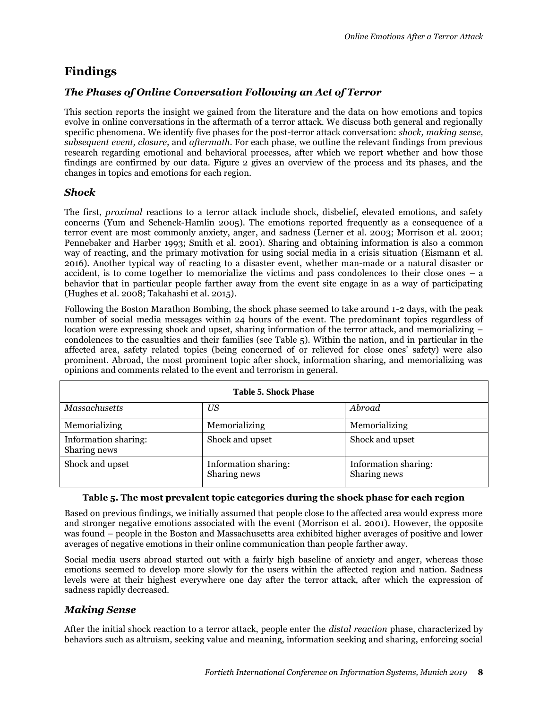# **Findings**

## *The Phases of Online Conversation Following an Act of Terror*

This section reports the insight we gained from the literature and the data on how emotions and topics evolve in online conversations in the aftermath of a terror attack. We discuss both general and regionally specific phenomena. We identify five phases for the post-terror attack conversation: *shock, making sense, subsequent event, closure,* and *aftermath*. For each phase, we outline the relevant findings from previous research regarding emotional and behavioral processes, after which we report whether and how those findings are confirmed by our data. Figure 2 gives an overview of the process and its phases, and the changes in topics and emotions for each region.

## *Shock*

The first, *proximal* reactions to a terror attack include shock, disbelief, elevated emotions, and safety concerns (Yum and Schenck-Hamlin 2005). The emotions reported frequently as a consequence of a terror event are most commonly anxiety, anger, and sadness (Lerner et al. 2003; Morrison et al. 2001; Pennebaker and Harber 1993; Smith et al. 2001). Sharing and obtaining information is also a common way of reacting, and the primary motivation for using social media in a crisis situation (Eismann et al. 2016). Another typical way of reacting to a disaster event, whether man-made or a natural disaster or accident, is to come together to memorialize the victims and pass condolences to their close ones – a behavior that in particular people farther away from the event site engage in as a way of participating (Hughes et al. 2008; Takahashi et al. 2015).

Following the Boston Marathon Bombing, the shock phase seemed to take around 1-2 days, with the peak number of social media messages within 24 hours of the event. The predominant topics regardless of location were expressing shock and upset, sharing information of the terror attack, and memorializing – condolences to the casualties and their families (see Table 5). Within the nation, and in particular in the affected area, safety related topics (being concerned of or relieved for close ones' safety) were also prominent. Abroad, the most prominent topic after shock, information sharing, and memorializing was opinions and comments related to the event and terrorism in general.

| <b>Table 5. Shock Phase</b>          |                                      |                                      |  |
|--------------------------------------|--------------------------------------|--------------------------------------|--|
| <b>Massachusetts</b>                 | <b>US</b>                            | Abroad                               |  |
| Memorializing                        | Memorializing                        | Memorializing                        |  |
| Information sharing:<br>Sharing news | Shock and upset                      | Shock and upset                      |  |
| Shock and upset                      | Information sharing:<br>Sharing news | Information sharing:<br>Sharing news |  |

#### **Table 5. The most prevalent topic categories during the shock phase for each region**

Based on previous findings, we initially assumed that people close to the affected area would express more and stronger negative emotions associated with the event (Morrison et al. 2001). However, the opposite was found – people in the Boston and Massachusetts area exhibited higher averages of positive and lower averages of negative emotions in their online communication than people farther away.

Social media users abroad started out with a fairly high baseline of anxiety and anger, whereas those emotions seemed to develop more slowly for the users within the affected region and nation. Sadness levels were at their highest everywhere one day after the terror attack, after which the expression of sadness rapidly decreased.

## *Making Sense*

After the initial shock reaction to a terror attack, people enter the *distal reaction* phase, characterized by behaviors such as altruism, seeking value and meaning, information seeking and sharing, enforcing social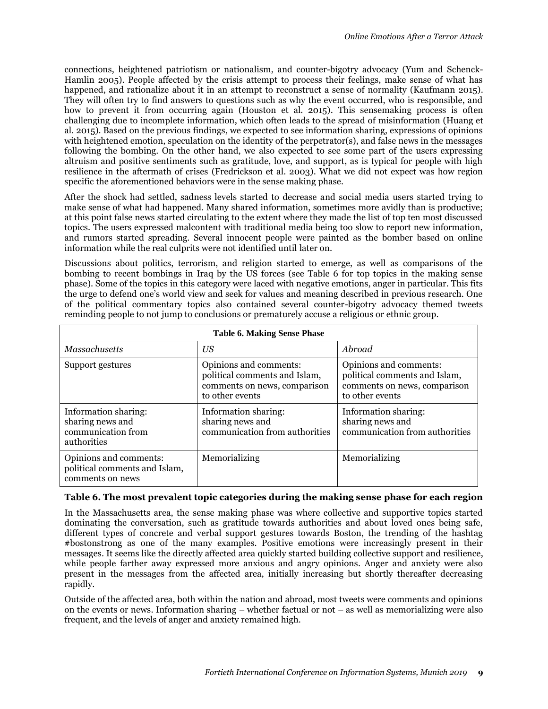connections, heightened patriotism or nationalism, and counter-bigotry advocacy (Yum and Schenck-Hamlin 2005). People affected by the crisis attempt to process their feelings, make sense of what has happened, and rationalize about it in an attempt to reconstruct a sense of normality (Kaufmann 2015). They will often try to find answers to questions such as why the event occurred, who is responsible, and how to prevent it from occurring again (Houston et al. 2015). This sensemaking process is often challenging due to incomplete information, which often leads to the spread of misinformation (Huang et al. 2015). Based on the previous findings, we expected to see information sharing, expressions of opinions with heightened emotion, speculation on the identity of the perpetrator(s), and false news in the messages following the bombing. On the other hand, we also expected to see some part of the users expressing altruism and positive sentiments such as gratitude, love, and support, as is typical for people with high resilience in the aftermath of crises (Fredrickson et al. 2003). What we did not expect was how region specific the aforementioned behaviors were in the sense making phase.

After the shock had settled, sadness levels started to decrease and social media users started trying to make sense of what had happened. Many shared information, sometimes more avidly than is productive; at this point false news started circulating to the extent where they made the list of top ten most discussed topics. The users expressed malcontent with traditional media being too slow to report new information, and rumors started spreading. Several innocent people were painted as the bomber based on online information while the real culprits were not identified until later on.

Discussions about politics, terrorism, and religion started to emerge, as well as comparisons of the bombing to recent bombings in Iraq by the US forces (see Table 6 for top topics in the making sense phase). Some of the topics in this category were laced with negative emotions, anger in particular. This fits the urge to defend one's world view and seek for values and meaning described in previous research. One of the political commentary topics also contained several counter-bigotry advocacy themed tweets reminding people to not jump to conclusions or prematurely accuse a religious or ethnic group.

| <b>Table 6. Making Sense Phase</b>                                            |                                                                                                            |                                                                                                            |  |
|-------------------------------------------------------------------------------|------------------------------------------------------------------------------------------------------------|------------------------------------------------------------------------------------------------------------|--|
| Massachusetts                                                                 | <b>US</b>                                                                                                  | Abroad                                                                                                     |  |
| Support gestures                                                              | Opinions and comments:<br>political comments and Islam,<br>comments on news, comparison<br>to other events | Opinions and comments:<br>political comments and Islam,<br>comments on news, comparison<br>to other events |  |
| Information sharing:<br>sharing news and<br>communication from<br>authorities | Information sharing:<br>sharing news and<br>communication from authorities                                 | Information sharing:<br>sharing news and<br>communication from authorities                                 |  |
| Opinions and comments:<br>political comments and Islam,<br>comments on news   | Memorializing                                                                                              | Memorializing                                                                                              |  |

#### **Table 6. The most prevalent topic categories during the making sense phase for each region**

In the Massachusetts area, the sense making phase was where collective and supportive topics started dominating the conversation, such as gratitude towards authorities and about loved ones being safe, different types of concrete and verbal support gestures towards Boston, the trending of the hashtag #bostonstrong as one of the many examples. Positive emotions were increasingly present in their messages. It seems like the directly affected area quickly started building collective support and resilience, while people farther away expressed more anxious and angry opinions. Anger and anxiety were also present in the messages from the affected area, initially increasing but shortly thereafter decreasing rapidly.

Outside of the affected area, both within the nation and abroad, most tweets were comments and opinions on the events or news. Information sharing – whether factual or not – as well as memorializing were also frequent, and the levels of anger and anxiety remained high.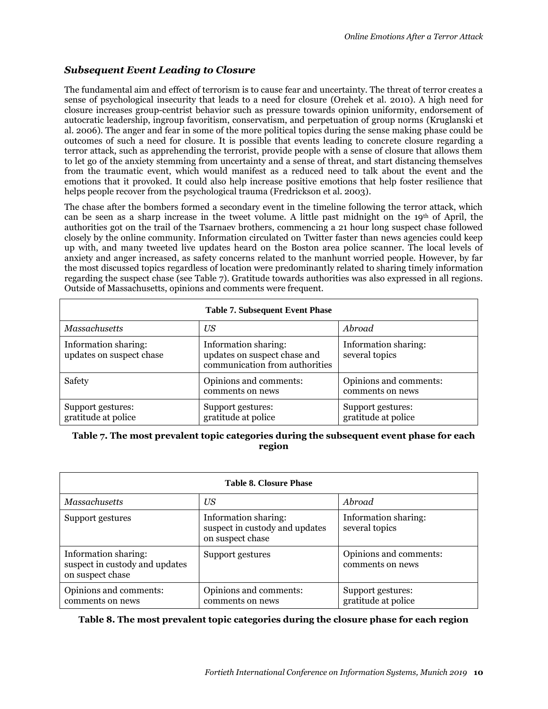## *Subsequent Event Leading to Closure*

The fundamental aim and effect of terrorism is to cause fear and uncertainty. The threat of terror creates a sense of psychological insecurity that leads to a need for closure (Orehek et al. 2010). A high need for closure increases group-centrist behavior such as pressure towards opinion uniformity, endorsement of autocratic leadership, ingroup favoritism, conservatism, and perpetuation of group norms (Kruglanski et al. 2006). The anger and fear in some of the more political topics during the sense making phase could be outcomes of such a need for closure. It is possible that events leading to concrete closure regarding a terror attack, such as apprehending the terrorist, provide people with a sense of closure that allows them to let go of the anxiety stemming from uncertainty and a sense of threat, and start distancing themselves from the traumatic event, which would manifest as a reduced need to talk about the event and the emotions that it provoked. It could also help increase positive emotions that help foster resilience that helps people recover from the psychological trauma (Fredrickson et al. 2003).

The chase after the bombers formed a secondary event in the timeline following the terror attack, which can be seen as a sharp increase in the tweet volume. A little past midnight on the 19<sup>th</sup> of April, the authorities got on the trail of the Tsarnaev brothers, commencing a 21 hour long suspect chase followed closely by the online community. Information circulated on Twitter faster than news agencies could keep up with, and many tweeted live updates heard on the Boston area police scanner. The local levels of anxiety and anger increased, as safety concerns related to the manhunt worried people. However, by far the most discussed topics regardless of location were predominantly related to sharing timely information regarding the suspect chase (see Table 7). Gratitude towards authorities was also expressed in all regions. Outside of Massachusetts, opinions and comments were frequent.

| <b>Table 7. Subsequent Event Phase</b>           |                                                                                        |                                            |  |
|--------------------------------------------------|----------------------------------------------------------------------------------------|--------------------------------------------|--|
| <b>Massachusetts</b>                             | <b>US</b>                                                                              | Abroad                                     |  |
| Information sharing:<br>updates on suspect chase | Information sharing:<br>updates on suspect chase and<br>communication from authorities | Information sharing:<br>several topics     |  |
| Safety                                           | Opinions and comments:<br>comments on news                                             | Opinions and comments:<br>comments on news |  |
| Support gestures:<br>gratitude at police         | Support gestures:<br>gratitude at police                                               | Support gestures:<br>gratitude at police   |  |

#### **Table 7. The most prevalent topic categories during the subsequent event phase for each region**

| <b>Table 8. Closure Phase</b>                                              |                                                                            |                                            |  |
|----------------------------------------------------------------------------|----------------------------------------------------------------------------|--------------------------------------------|--|
| Massachusetts                                                              | <b>US</b>                                                                  | Abroad                                     |  |
| Support gestures                                                           | Information sharing:<br>suspect in custody and updates<br>on suspect chase | Information sharing:<br>several topics     |  |
| Information sharing:<br>suspect in custody and updates<br>on suspect chase | Support gestures                                                           | Opinions and comments:<br>comments on news |  |
| Opinions and comments:<br>comments on news                                 | Opinions and comments:<br>comments on news                                 | Support gestures:<br>gratitude at police   |  |

#### **Table 8. The most prevalent topic categories during the closure phase for each region**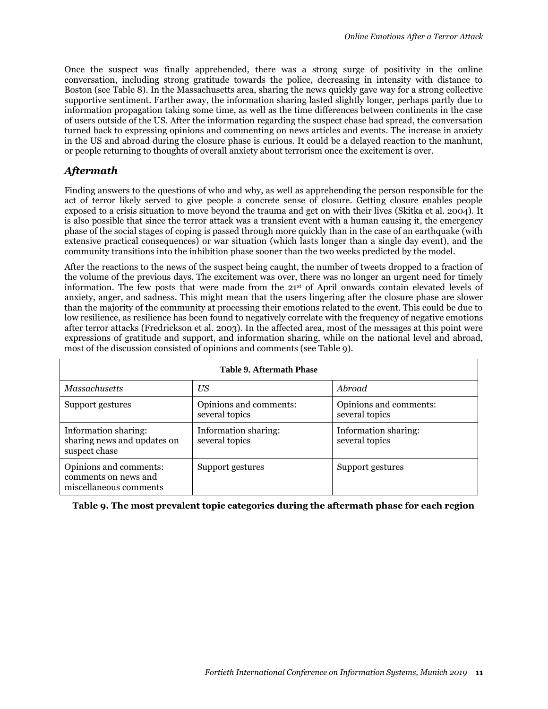Once the suspect was finally apprehended, there was a strong surge of positivity in the online conversation, including strong gratitude towards the police, decreasing in intensity with distance to Boston (see Table 8). In the Massachusetts area, sharing the news quickly gave way for a strong collective supportive sentiment. Farther away, the information sharing lasted slightly longer, perhaps partly due to information propagation taking some time, as well as the time differences between continents in the case of users outside of the US. After the information regarding the suspect chase had spread, the conversation turned back to expressing opinions and commenting on news articles and events. The increase in anxiety in the US and abroad during the closure phase is curious. It could be a delayed reaction to the manhunt, or people returning to thoughts of overall anxiety about terrorism once the excitement is over.

### *Aftermath*

Finding answers to the questions of who and why, as well as apprehending the person responsible for the act of terror likely served to give people a concrete sense of closure. Getting closure enables people exposed to a crisis situation to move beyond the trauma and get on with their lives (Skitka et al. 2004). It is also possible that since the terror attack was a transient event with a human causing it, the emergency phase of the social stages of coping is passed through more quickly than in the case of an earthquake (with extensive practical consequences) or war situation (which lasts longer than a single day event), and the community transitions into the inhibition phase sooner than the two weeks predicted by the model.

After the reactions to the news of the suspect being caught, the number of tweets dropped to a fraction of the volume of the previous days. The excitement was over, there was no longer an urgent need for timely information. The few posts that were made from the 21st of April onwards contain elevated levels of anxiety, anger, and sadness. This might mean that the users lingering after the closure phase are slower than the majority of the community at processing their emotions related to the event. This could be due to low resilience, as resilience has been found to negatively correlate with the frequency of negative emotions after terror attacks (Fredrickson et al. 2003). In the affected area, most of the messages at this point were expressions of gratitude and support, and information sharing, while on the national level and abroad, most of the discussion consisted of opinions and comments (see Table 9).

| <b>Table 9. Aftermath Phase</b>                                          |                                          |                                          |  |
|--------------------------------------------------------------------------|------------------------------------------|------------------------------------------|--|
| Massachusetts                                                            | US                                       | Abroad                                   |  |
| Support gestures                                                         | Opinions and comments:<br>several topics | Opinions and comments:<br>several topics |  |
| Information sharing:<br>sharing news and updates on<br>suspect chase     | Information sharing:<br>several topics   | Information sharing:<br>several topics   |  |
| Opinions and comments:<br>comments on news and<br>miscellaneous comments | Support gestures                         | Support gestures                         |  |

**Table 9. The most prevalent topic categories during the aftermath phase for each region**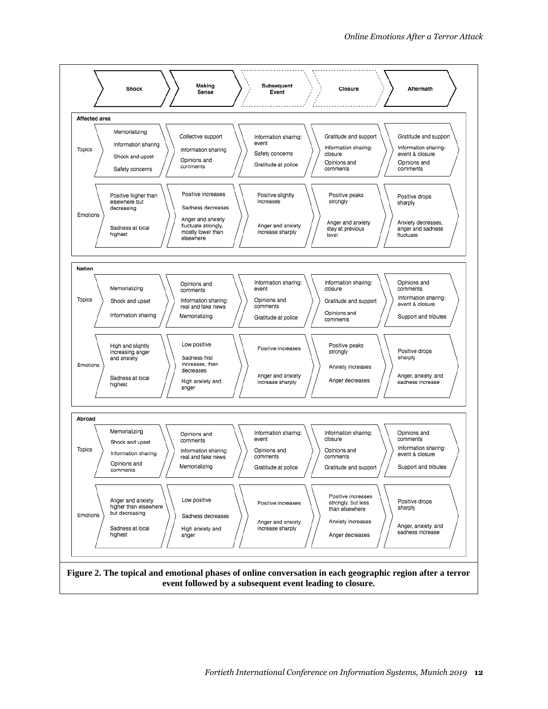

**event followed by a subsequent event leading to closure.**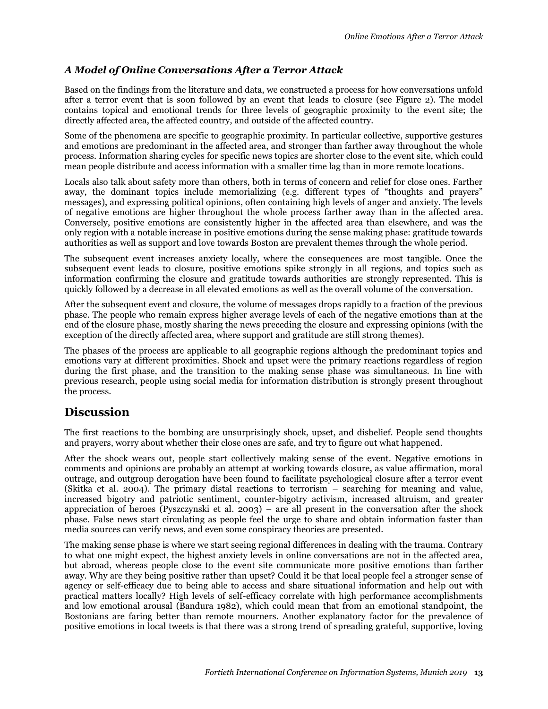## *A Model of Online Conversations After a Terror Attack*

Based on the findings from the literature and data, we constructed a process for how conversations unfold after a terror event that is soon followed by an event that leads to closure (see Figure 2). The model contains topical and emotional trends for three levels of geographic proximity to the event site; the directly affected area, the affected country, and outside of the affected country.

Some of the phenomena are specific to geographic proximity. In particular collective, supportive gestures and emotions are predominant in the affected area, and stronger than farther away throughout the whole process. Information sharing cycles for specific news topics are shorter close to the event site, which could mean people distribute and access information with a smaller time lag than in more remote locations.

Locals also talk about safety more than others, both in terms of concern and relief for close ones. Farther away, the dominant topics include memorializing (e.g. different types of "thoughts and prayers" messages), and expressing political opinions, often containing high levels of anger and anxiety. The levels of negative emotions are higher throughout the whole process farther away than in the affected area. Conversely, positive emotions are consistently higher in the affected area than elsewhere, and was the only region with a notable increase in positive emotions during the sense making phase: gratitude towards authorities as well as support and love towards Boston are prevalent themes through the whole period.

The subsequent event increases anxiety locally, where the consequences are most tangible. Once the subsequent event leads to closure, positive emotions spike strongly in all regions, and topics such as information confirming the closure and gratitude towards authorities are strongly represented. This is quickly followed by a decrease in all elevated emotions as well as the overall volume of the conversation.

After the subsequent event and closure, the volume of messages drops rapidly to a fraction of the previous phase. The people who remain express higher average levels of each of the negative emotions than at the end of the closure phase, mostly sharing the news preceding the closure and expressing opinions (with the exception of the directly affected area, where support and gratitude are still strong themes).

The phases of the process are applicable to all geographic regions although the predominant topics and emotions vary at different proximities. Shock and upset were the primary reactions regardless of region during the first phase, and the transition to the making sense phase was simultaneous. In line with previous research, people using social media for information distribution is strongly present throughout the process.

# **Discussion**

The first reactions to the bombing are unsurprisingly shock, upset, and disbelief. People send thoughts and prayers, worry about whether their close ones are safe, and try to figure out what happened.

After the shock wears out, people start collectively making sense of the event. Negative emotions in comments and opinions are probably an attempt at working towards closure, as value affirmation, moral outrage, and outgroup derogation have been found to facilitate psychological closure after a terror event (Skitka et al. 2004). The primary distal reactions to terrorism – searching for meaning and value, increased bigotry and patriotic sentiment, counter-bigotry activism, increased altruism, and greater appreciation of heroes (Pyszczynski et al. 2003) – are all present in the conversation after the shock phase. False news start circulating as people feel the urge to share and obtain information faster than media sources can verify news, and even some conspiracy theories are presented.

The making sense phase is where we start seeing regional differences in dealing with the trauma. Contrary to what one might expect, the highest anxiety levels in online conversations are not in the affected area, but abroad, whereas people close to the event site communicate more positive emotions than farther away. Why are they being positive rather than upset? Could it be that local people feel a stronger sense of agency or self-efficacy due to being able to access and share situational information and help out with practical matters locally? High levels of self-efficacy correlate with high performance accomplishments and low emotional arousal (Bandura 1982), which could mean that from an emotional standpoint, the Bostonians are faring better than remote mourners. Another explanatory factor for the prevalence of positive emotions in local tweets is that there was a strong trend of spreading grateful, supportive, loving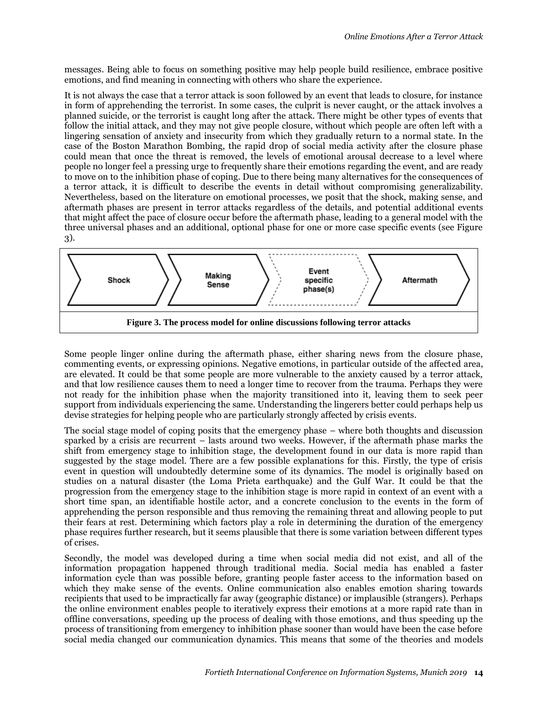messages. Being able to focus on something positive may help people build resilience, embrace positive emotions, and find meaning in connecting with others who share the experience.

It is not always the case that a terror attack is soon followed by an event that leads to closure, for instance in form of apprehending the terrorist. In some cases, the culprit is never caught, or the attack involves a planned suicide, or the terrorist is caught long after the attack. There might be other types of events that follow the initial attack, and they may not give people closure, without which people are often left with a lingering sensation of anxiety and insecurity from which they gradually return to a normal state. In the case of the Boston Marathon Bombing, the rapid drop of social media activity after the closure phase could mean that once the threat is removed, the levels of emotional arousal decrease to a level where people no longer feel a pressing urge to frequently share their emotions regarding the event, and are ready to move on to the inhibition phase of coping. Due to there being many alternatives for the consequences of a terror attack, it is difficult to describe the events in detail without compromising generalizability. Nevertheless, based on the literature on emotional processes, we posit that the shock, making sense, and aftermath phases are present in terror attacks regardless of the details, and potential additional events that might affect the pace of closure occur before the aftermath phase, leading to a general model with the three universal phases and an additional, optional phase for one or more case specific events (see Figure 3).



Some people linger online during the aftermath phase, either sharing news from the closure phase, commenting events, or expressing opinions. Negative emotions, in particular outside of the affected area, are elevated. It could be that some people are more vulnerable to the anxiety caused by a terror attack, and that low resilience causes them to need a longer time to recover from the trauma. Perhaps they were not ready for the inhibition phase when the majority transitioned into it, leaving them to seek peer support from individuals experiencing the same. Understanding the lingerers better could perhaps help us devise strategies for helping people who are particularly strongly affected by crisis events.

The social stage model of coping posits that the emergency phase – where both thoughts and discussion sparked by a crisis are recurrent – lasts around two weeks. However, if the aftermath phase marks the shift from emergency stage to inhibition stage, the development found in our data is more rapid than suggested by the stage model. There are a few possible explanations for this. Firstly, the type of crisis event in question will undoubtedly determine some of its dynamics. The model is originally based on studies on a natural disaster (the Loma Prieta earthquake) and the Gulf War. It could be that the progression from the emergency stage to the inhibition stage is more rapid in context of an event with a short time span, an identifiable hostile actor, and a concrete conclusion to the events in the form of apprehending the person responsible and thus removing the remaining threat and allowing people to put their fears at rest. Determining which factors play a role in determining the duration of the emergency phase requires further research, but it seems plausible that there is some variation between different types of crises.

Secondly, the model was developed during a time when social media did not exist, and all of the information propagation happened through traditional media. Social media has enabled a faster information cycle than was possible before, granting people faster access to the information based on which they make sense of the events. Online communication also enables emotion sharing towards recipients that used to be impractically far away (geographic distance) or implausible (strangers). Perhaps the online environment enables people to iteratively express their emotions at a more rapid rate than in offline conversations, speeding up the process of dealing with those emotions, and thus speeding up the process of transitioning from emergency to inhibition phase sooner than would have been the case before social media changed our communication dynamics. This means that some of the theories and models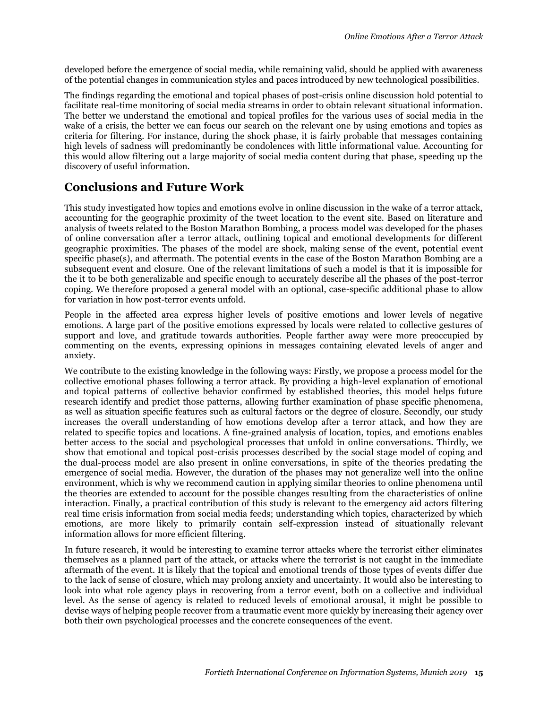developed before the emergence of social media, while remaining valid, should be applied with awareness of the potential changes in communication styles and paces introduced by new technological possibilities.

The findings regarding the emotional and topical phases of post-crisis online discussion hold potential to facilitate real-time monitoring of social media streams in order to obtain relevant situational information. The better we understand the emotional and topical profiles for the various uses of social media in the wake of a crisis, the better we can focus our search on the relevant one by using emotions and topics as criteria for filtering. For instance, during the shock phase, it is fairly probable that messages containing high levels of sadness will predominantly be condolences with little informational value. Accounting for this would allow filtering out a large majority of social media content during that phase, speeding up the discovery of useful information.

# **Conclusions and Future Work**

This study investigated how topics and emotions evolve in online discussion in the wake of a terror attack, accounting for the geographic proximity of the tweet location to the event site. Based on literature and analysis of tweets related to the Boston Marathon Bombing, a process model was developed for the phases of online conversation after a terror attack, outlining topical and emotional developments for different geographic proximities. The phases of the model are shock, making sense of the event, potential event specific phase(s), and aftermath. The potential events in the case of the Boston Marathon Bombing are a subsequent event and closure. One of the relevant limitations of such a model is that it is impossible for the it to be both generalizable and specific enough to accurately describe all the phases of the post-terror coping. We therefore proposed a general model with an optional, case-specific additional phase to allow for variation in how post-terror events unfold.

People in the affected area express higher levels of positive emotions and lower levels of negative emotions. A large part of the positive emotions expressed by locals were related to collective gestures of support and love, and gratitude towards authorities. People farther away were more preoccupied by commenting on the events, expressing opinions in messages containing elevated levels of anger and anxiety.

We contribute to the existing knowledge in the following ways: Firstly, we propose a process model for the collective emotional phases following a terror attack. By providing a high-level explanation of emotional and topical patterns of collective behavior confirmed by established theories, this model helps future research identify and predict those patterns, allowing further examination of phase specific phenomena, as well as situation specific features such as cultural factors or the degree of closure. Secondly, our study increases the overall understanding of how emotions develop after a terror attack, and how they are related to specific topics and locations. A fine-grained analysis of location, topics, and emotions enables better access to the social and psychological processes that unfold in online conversations. Thirdly, we show that emotional and topical post-crisis processes described by the social stage model of coping and the dual-process model are also present in online conversations, in spite of the theories predating the emergence of social media. However, the duration of the phases may not generalize well into the online environment, which is why we recommend caution in applying similar theories to online phenomena until the theories are extended to account for the possible changes resulting from the characteristics of online interaction. Finally, a practical contribution of this study is relevant to the emergency aid actors filtering real time crisis information from social media feeds; understanding which topics, characterized by which emotions, are more likely to primarily contain self-expression instead of situationally relevant information allows for more efficient filtering.

In future research, it would be interesting to examine terror attacks where the terrorist either eliminates themselves as a planned part of the attack, or attacks where the terrorist is not caught in the immediate aftermath of the event. It is likely that the topical and emotional trends of those types of events differ due to the lack of sense of closure, which may prolong anxiety and uncertainty. It would also be interesting to look into what role agency plays in recovering from a terror event, both on a collective and individual level. As the sense of agency is related to reduced levels of emotional arousal, it might be possible to devise ways of helping people recover from a traumatic event more quickly by increasing their agency over both their own psychological processes and the concrete consequences of the event.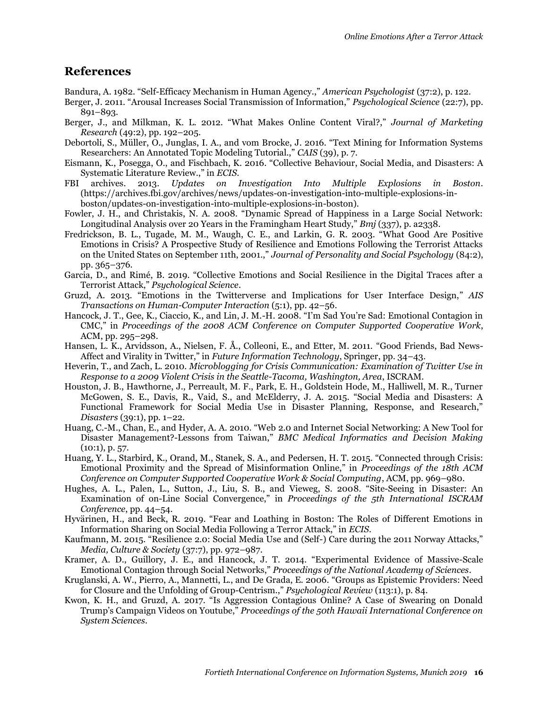## **References**

- Bandura, A. 1982. "Self-Efficacy Mechanism in Human Agency.," *American Psychologist* (37:2), p. 122.
- Berger, J. 2011. "Arousal Increases Social Transmission of Information," *Psychological Science* (22:7), pp. 891–893.
- Berger, J., and Milkman, K. L. 2012. "What Makes Online Content Viral?," *Journal of Marketing Research* (49:2), pp. 192–205.
- Debortoli, S., Müller, O., Junglas, I. A., and vom Brocke, J. 2016. "Text Mining for Information Systems Researchers: An Annotated Topic Modeling Tutorial.," *CAIS* (39), p. 7.
- Eismann, K., Posegga, O., and Fischbach, K. 2016. "Collective Behaviour, Social Media, and Disasters: A Systematic Literature Review.," in *ECIS*.
- FBI archives. 2013. *Updates on Investigation Into Multiple Explosions in Boston*. (https://archives.fbi.gov/archives/news/updates-on-investigation-into-multiple-explosions-inboston/updates-on-investigation-into-multiple-explosions-in-boston).
- Fowler, J. H., and Christakis, N. A. 2008. "Dynamic Spread of Happiness in a Large Social Network: Longitudinal Analysis over 20 Years in the Framingham Heart Study," *Bmj* (337), p. a2338.
- Fredrickson, B. L., Tugade, M. M., Waugh, C. E., and Larkin, G. R. 2003. "What Good Are Positive Emotions in Crisis? A Prospective Study of Resilience and Emotions Following the Terrorist Attacks on the United States on September 11th, 2001.," *Journal of Personality and Social Psychology* (84:2), pp. 365–376.
- Garcia, D., and Rimé, B. 2019. "Collective Emotions and Social Resilience in the Digital Traces after a Terrorist Attack," *Psychological Science*.
- Gruzd, A. 2013. "Emotions in the Twitterverse and Implications for User Interface Design," *AIS Transactions on Human-Computer Interaction* (5:1), pp. 42–56.
- Hancock, J. T., Gee, K., Ciaccio, K., and Lin, J. M.-H. 2008. "I'm Sad You're Sad: Emotional Contagion in CMC," in *Proceedings of the 2008 ACM Conference on Computer Supported Cooperative Work*, ACM, pp. 295–298.
- Hansen, L. K., Arvidsson, A., Nielsen, F. Å., Colleoni, E., and Etter, M. 2011. "Good Friends, Bad News-Affect and Virality in Twitter," in *Future Information Technology*, Springer, pp. 34–43.
- Heverin, T., and Zach, L. 2010. *Microblogging for Crisis Communication: Examination of Twitter Use in Response to a 2009 Violent Crisis in the Seattle-Tacoma, Washington, Area*, ISCRAM.
- Houston, J. B., Hawthorne, J., Perreault, M. F., Park, E. H., Goldstein Hode, M., Halliwell, M. R., Turner McGowen, S. E., Davis, R., Vaid, S., and McElderry, J. A. 2015. "Social Media and Disasters: A Functional Framework for Social Media Use in Disaster Planning, Response, and Research," *Disasters* (39:1), pp. 1–22.
- Huang, C.-M., Chan, E., and Hyder, A. A. 2010. "Web 2.0 and Internet Social Networking: A New Tool for Disaster Management?-Lessons from Taiwan," *BMC Medical Informatics and Decision Making*  $(10:1)$ , p. 57.
- Huang, Y. L., Starbird, K., Orand, M., Stanek, S. A., and Pedersen, H. T. 2015. "Connected through Crisis: Emotional Proximity and the Spread of Misinformation Online," in *Proceedings of the 18th ACM Conference on Computer Supported Cooperative Work & Social Computing*, ACM, pp. 969–980.
- Hughes, A. L., Palen, L., Sutton, J., Liu, S. B., and Vieweg, S. 2008. "Site-Seeing in Disaster: An Examination of on-Line Social Convergence," in *Proceedings of the 5th International ISCRAM Conference*, pp. 44–54.
- Hyvärinen, H., and Beck, R. 2019. "Fear and Loathing in Boston: The Roles of Different Emotions in Information Sharing on Social Media Following a Terror Attack," in *ECIS*.
- Kaufmann, M. 2015. "Resilience 2.0: Social Media Use and (Self-) Care during the 2011 Norway Attacks," *Media, Culture & Society* (37:7), pp. 972–987.
- Kramer, A. D., Guillory, J. E., and Hancock, J. T. 2014. "Experimental Evidence of Massive-Scale Emotional Contagion through Social Networks," *Proceedings of the National Academy of Sciences*.
- Kruglanski, A. W., Pierro, A., Mannetti, L., and De Grada, E. 2006. "Groups as Epistemic Providers: Need for Closure and the Unfolding of Group-Centrism.," *Psychological Review* (113:1), p. 84.
- Kwon, K. H., and Gruzd, A. 2017. "Is Aggression Contagious Online? A Case of Swearing on Donald Trump's Campaign Videos on Youtube," *Proceedings of the 50th Hawaii International Conference on System Sciences*.